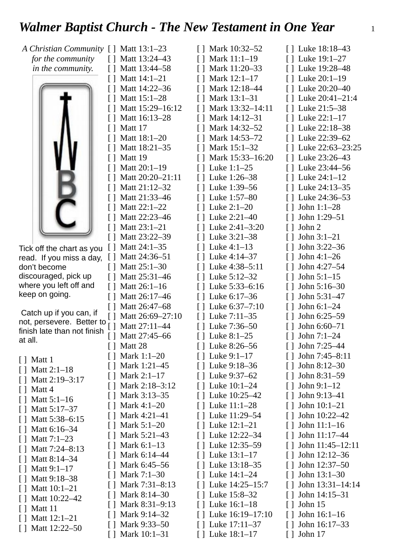## *Walmer Baptist Church - The New Testament in One Year* 1

| A Christian Community [ ] Matt 13:1-23                   |                                     | $\lceil$ Mark 10:32-52                | [] Luke 18:18-43                  |
|----------------------------------------------------------|-------------------------------------|---------------------------------------|-----------------------------------|
| for the community                                        | Matt 13:24-43<br>$\Box$             | [ ] Mark 11:1-19                      | [] Luke 19:1-27                   |
| in the community.                                        | Matt 13:44-58<br>$\perp$            | Mark 11:20-33<br>$\mathsf{L}$         | [] Luke 19:28-48                  |
|                                                          | Matt 14:1-21<br>$\perp$             | [] Mark 12:1-17                       | [] Luke 20:1-19                   |
|                                                          | Matt 14:22-36                       | Mark 12:18-44<br>Π                    | [] Luke 20:20-40                  |
|                                                          | Matt 15:1-28                        | [] Mark 13:1-31                       | [] Luke 20:41-21:4                |
|                                                          | Matt 15:29-16:12                    | Mark 13:32-14:11<br>$\lceil$ $\rceil$ | [] Luke 21:5-38                   |
|                                                          | Matt 16:13-28                       | $\lceil$ Mark 14:12-31                | [ ] Luke 22:1-17                  |
|                                                          | Matt 17                             | [] Mark 14:32-52                      | [] Luke 22:18-38                  |
|                                                          | Matt 18:1-20                        | [] Mark 14:53-72                      | [ ] Luke 22:39–62                 |
|                                                          | Matt 18:21-35                       | Mark 15:1-32<br>$\perp$               | [] Luke 22:63-23:25               |
|                                                          | Matt 19                             | $[ ]$ Mark 15:33-16:20                | [] Luke 23:26-43                  |
|                                                          | Matt 20:1-19                        | [ ] Luke 1:1-25                       | [] Luke 23:44-56                  |
|                                                          | Matt 20:20-21:11                    | [] Luke 1:26-38                       | [ ] Luke 24:1-12                  |
|                                                          | Matt 21:12-32                       | [] Luke 1:39-56                       | [] Luke 24:13-35                  |
|                                                          | Matt 21:33-46                       | [] Luke 1:57-80                       | [ ] Luke 24:36–53                 |
|                                                          | Matt 22:1-22                        | [] Luke 2:1-20                        | John 1:1-28                       |
|                                                          | Matt 22:23-46                       | [] Luke 2:21-40                       | John 1:29-51<br>$\Box$            |
|                                                          | Matt 23:1-21                        | Luke 2:41-3:20                        | John 2<br>$\lceil$                |
|                                                          | Matt 23:22-39<br>$\perp$            | [] Luke 3:21-38                       | $\lceil$ John 3:1-21              |
| Tick off the chart as you                                | Matt 24:1-35<br>$\lfloor \ \rfloor$ | [] Luke 4:1-13                        | John 3:22-36                      |
| read. If you miss a day,                                 | Matt 24:36-51<br>$\Box$             | [] Luke 4:14-37                       | John 4:1-26<br>$\Box$             |
| don't become                                             | Matt 25:1-30<br>$\Box$              | Luke 4:38-5:11                        | John 4:27-54                      |
| discouraged, pick up                                     | Matt 25:31-46<br>$\Box$             | [] Luke 5:12-32                       | John $5:1-15$<br>$\Box$           |
| where you left off and                                   | Matt 26:1-16                        | [] Luke 5:33-6:16                     | John 5:16-30                      |
| keep on going.                                           | Matt 26:17-46                       | [] Luke 6:17-36                       | John 5:31-47                      |
|                                                          | Matt 26:47-68                       | Luke 6:37-7:10                        | John 6:1-24                       |
| Catch up if you can, if                                  | Matt 26:69-27:10<br>$\Box$          | [] Luke 7:11-35                       | John 6:25-59<br>$\Box$            |
| not, persevere. Better to<br>finish late than not finish | Matt 27:11-44                       | [] Luke 7:36-50                       | John 6:60-71                      |
| at all.                                                  | Matt 27:45-66                       | [] Luke 8:1-25                        | John 7:1-24<br>Ħ                  |
|                                                          | [ ] Matt 28                         | [ ] Luke 8:26–56                      | $[ ]$ John 7:25-44                |
| $[$ Matt 1                                               | $[ ]$ Mark 1:1-20                   | $[ ]$ Luke 9:1-17                     | $[ ]$ John 7:45-8:11              |
| $[ ]$ Matt 2:1-18                                        | Mark 1:21-45                        | [] Luke 9:18-36                       | John 8:12-30                      |
| [] Matt 2:19-3:17                                        | Mark 2:1–17<br>$\Box$               | [] Luke 9:37–62                       | John 8:31-59<br>$\Box$            |
| $[ ]$ Matt 4                                             | Mark 2:18-3:12                      | [ ] Luke 10:1-24                      | John 9:1-12                       |
| $[ ]$ Matt 5:1-16                                        | Mark 3:13–35<br>$\perp$             | [ ] Luke 10:25–42                     | John 9:13-41<br>$\lceil$ $\rceil$ |
| [] Matt 5:17-37                                          | Mark 4:1-20                         | [] Luke 11:1-28                       | John 10:1-21                      |
| $[ ]$ Matt 5:38-6:15                                     | Mark 4:21–41<br>$\perp$             | [ ] Luke 11:29–54                     | John 10:22-42<br>Ιl               |
| $[ ]$ Matt 6:16-34                                       | Mark 5:1-20                         | [] Luke 12:1-21                       | John 11:1-16                      |
| $[ ]$ Matt 7:1-23                                        | Mark 5:21-43<br>$\perp$             | [ ] Luke 12:22-34                     | John 11:17-44<br>$\Box$           |
| $[ ]$ Matt 7:24-8:13                                     | Mark 6:1-13                         | [] Luke 12:35–59                      | John 11:45-12:11                  |
| [] Matt 8:14-34                                          | Mark 6:14-44<br>$\Box$              | [] Luke 13:1-17                       | John 12:12-36<br>$\Box$           |
| $[ ]$ Matt 9:1-17                                        | Mark 6:45-56                        | [] Luke 13:18–35                      | John 12:37-50                     |
| [] Matt 9:18-38                                          | Mark 7:1-30<br>Ħ                    | [ ] Luke 14:1-24                      | John 13:1-30<br>$\Box$            |
| $[ ]$ Matt 10:1-21                                       | Mark 7:31-8:13                      | [ ] Luke 14:25-15:7                   | John 13:31-14:14<br>$\lceil$      |
| [] Matt 10:22-42                                         | Mark 8:14-30<br>$\perp$             | [] Luke 15:8–32                       | John 14:15-31<br>$\Box$           |
| [ ] Matt 11                                              | Mark 8:31-9:13                      | [] Luke 16:1-18                       | John 15<br>Γl                     |
| $[ ]$ Matt 12:1-21                                       | Mark 9:14-32<br>ΙI                  | $[$ Luke 16:19-17:10                  | John 16:1-16<br>$\Box$            |
| [] Matt 12:22-50                                         | Mark 9:33–50                        | [ ] Luke 17:11-37                     | John 16:17-33<br>$\Box$           |
|                                                          | Mark 10:1-31                        | Luke 18:1-17                          | John 17                           |